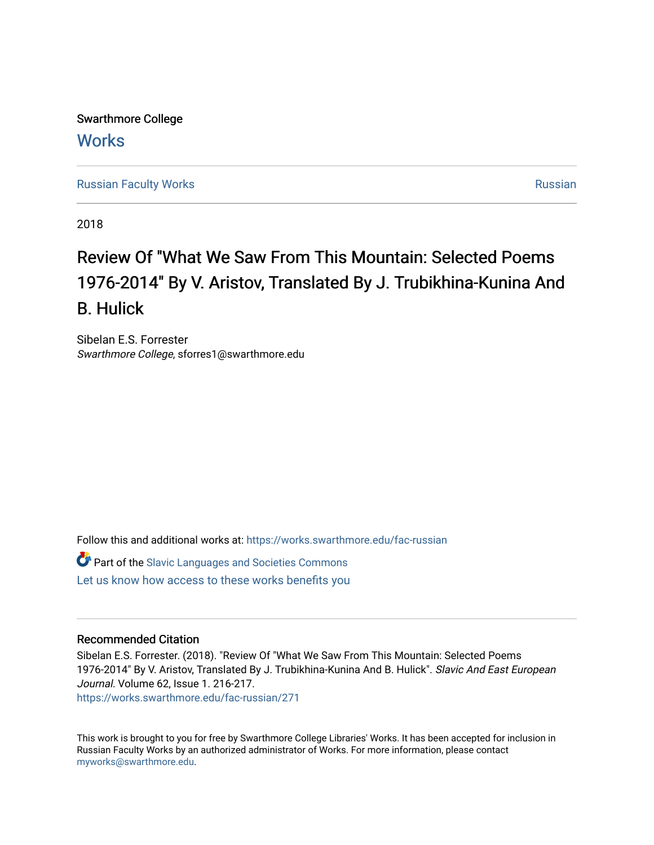Swarthmore College **Works** 

[Russian Faculty Works](https://works.swarthmore.edu/fac-russian) **Russian** [Russian](https://works.swarthmore.edu/russian) Russian Russian

2018

# Review Of "What We Saw From This Mountain: Selected Poems 1976-2014" By V. Aristov, Translated By J. Trubikhina-Kunina And B. Hulick

Sibelan E.S. Forrester Swarthmore College, sforres1@swarthmore.edu

Follow this and additional works at: [https://works.swarthmore.edu/fac-russian](https://works.swarthmore.edu/fac-russian?utm_source=works.swarthmore.edu%2Ffac-russian%2F271&utm_medium=PDF&utm_campaign=PDFCoverPages) 

Part of the [Slavic Languages and Societies Commons](http://network.bepress.com/hgg/discipline/486?utm_source=works.swarthmore.edu%2Ffac-russian%2F271&utm_medium=PDF&utm_campaign=PDFCoverPages)  [Let us know how access to these works benefits you](https://forms.gle/4MB8mE2GywC5965J8) 

# Recommended Citation

Sibelan E.S. Forrester. (2018). "Review Of "What We Saw From This Mountain: Selected Poems 1976-2014" By V. Aristov, Translated By J. Trubikhina-Kunina And B. Hulick". Slavic And East European Journal. Volume 62, Issue 1. 216-217.

<https://works.swarthmore.edu/fac-russian/271>

This work is brought to you for free by Swarthmore College Libraries' Works. It has been accepted for inclusion in Russian Faculty Works by an authorized administrator of Works. For more information, please contact [myworks@swarthmore.edu.](mailto:myworks@swarthmore.edu)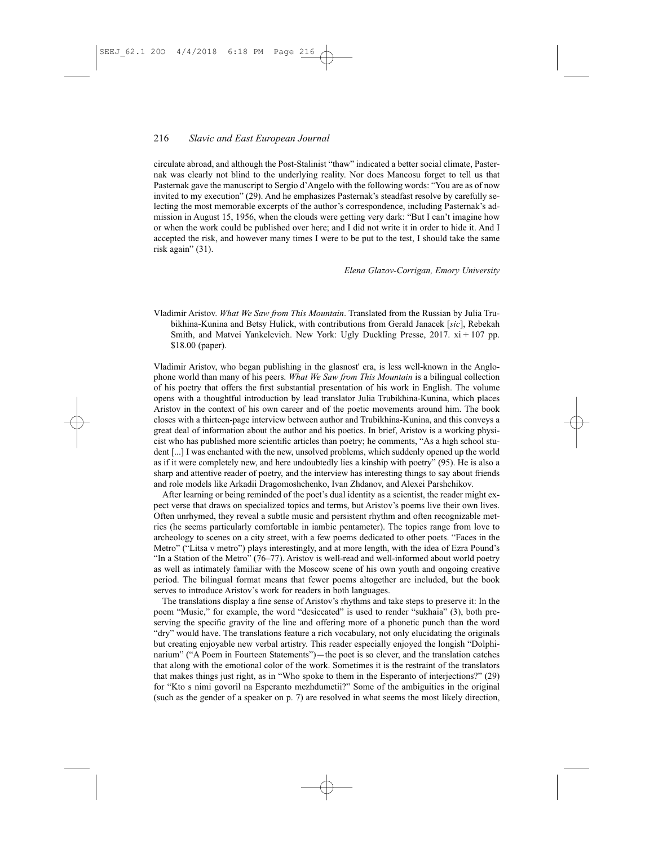## 216 *Slavic and East European Journal*

circulate abroad, and although the Post-Stalinist "thaw" indicated a better social climate, Pasternak was clearly not blind to the underlying reality. Nor does Mancosu forget to tell us that Pasternak gave the manuscript to Sergio d'Angelo with the following words: "You are as of now invited to my execution" (29). And he emphasizes Pasternak's steadfast resolve by carefully selecting the most memorable excerpts of the author's correspondence, including Pasternak's admission in August 15, 1956, when the clouds were getting very dark: "But I can't imagine how or when the work could be published over here; and I did not write it in order to hide it. And I accepted the risk, and however many times I were to be put to the test, I should take the same risk again" (31).

#### *Elena Glazov-Corrigan, Emory University*

Vladimir Aristov. *What We Saw from This Mountain*. Translated from the Russian by Julia Trubikhina-Kunina and Betsy Hulick, with contributions from Gerald Janacek [*sic*], Rebekah Smith, and Matvei Yankelevich. New York: Ugly Duckling Presse,  $2017$ .  $xi + 107$  pp. \$18.00 (paper).

Vladimir Aristov, who began publishing in the glasnost' era, is less well-known in the Anglophone world than many of his peers. *What We Saw from This Mountain* is a bilingual collection of his poetry that offers the first substantial presentation of his work in English. The volume opens with a thoughtful introduction by lead translator Julia Trubikhina-Kunina, which places Aristov in the context of his own career and of the poetic movements around him. The book closes with a thirteen-page interview between author and Trubikhina-Kunina, and this conveys a great deal of information about the author and his poetics. In brief, Aristov is a working physicist who has published more scientific articles than poetry; he comments, "As a high school student [...] I was enchanted with the new, unsolved problems, which suddenly opened up the world as if it were completely new, and here undoubtedly lies a kinship with poetry" (95). He is also a sharp and attentive reader of poetry, and the interview has interesting things to say about friends and role models like Arkadii Dragomoshchenko, Ivan Zhdanov, and Alexei Parshchikov.

After learning or being reminded of the poet's dual identity as a scientist, the reader might expect verse that draws on specialized topics and terms, but Aristov's poems live their own lives. Often unrhymed, they reveal a subtle music and persistent rhythm and often recognizable metrics (he seems particularly comfortable in iambic pentameter). The topics range from love to archeology to scenes on a city street, with a few poems dedicated to other poets. "Faces in the Metro" ("Litsa v metro") plays interestingly, and at more length, with the idea of Ezra Pound's "In a Station of the Metro" (76–77). Aristov is well-read and well-informed about world poetry as well as intimately familiar with the Moscow scene of his own youth and ongoing creative period. The bilingual format means that fewer poems altogether are included, but the book serves to introduce Aristov's work for readers in both languages.

The translations display a fine sense of Aristov's rhythms and take steps to preserve it: In the poem "Music," for example, the word "desiccated" is used to render "sukhaia" (3), both preserving the specific gravity of the line and offering more of a phonetic punch than the word "dry" would have. The translations feature a rich vocabulary, not only elucidating the originals but creating enjoyable new verbal artistry. This reader especially enjoyed the longish "Dolphinarium" ("A Poem in Fourteen Statements")—the poet is so clever, and the translation catches that along with the emotional color of the work. Sometimes it is the restraint of the translators that makes things just right, as in "Who spoke to them in the Esperanto of interjections?" (29) for "Kto s nimi govoril na Esperanto mezhdumetii?" Some of the ambiguities in the original (such as the gender of a speaker on p. 7) are resolved in what seems the most likely direction,